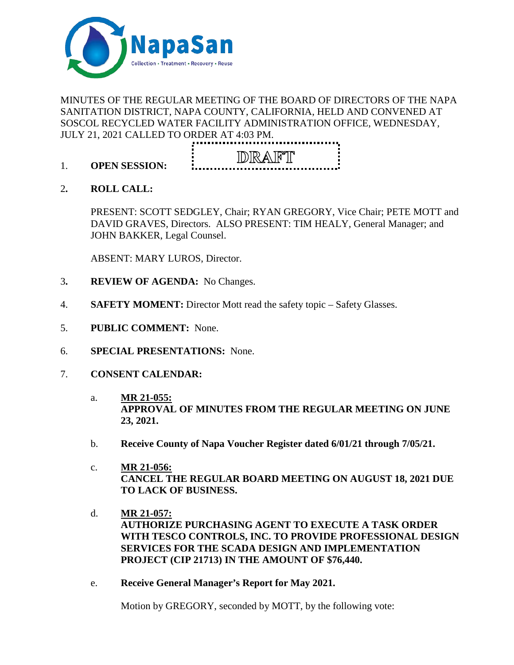

## MINUTES OF THE REGULAR MEETING OF THE BOARD OF DIRECTORS OF THE NAPA SANITATION DISTRICT, NAPA COUNTY, CALIFORNIA, HELD AND CONVENED AT SOSCOL RECYCLED WATER FACILITY ADMINISTRATION OFFICE, WEDNESDAY, JULY 21, 2021 CALLED TO ORDER AT 4:03 PM.



- 1. **OPEN SESSION:**
- 2**. ROLL CALL:**

PRESENT: SCOTT SEDGLEY, Chair; RYAN GREGORY, Vice Chair; PETE MOTT and DAVID GRAVES, Directors. ALSO PRESENT: TIM HEALY, General Manager; and JOHN BAKKER, Legal Counsel.

ABSENT: MARY LUROS, Director.

- 3**. REVIEW OF AGENDA:** No Changes.
- 4. **SAFETY MOMENT:** Director Mott read the safety topic Safety Glasses.
- 5. **PUBLIC COMMENT:** None.
- 6. **SPECIAL PRESENTATIONS:** None.
- 7. **CONSENT CALENDAR:**
	- a. **MR 21-055: APPROVAL OF MINUTES FROM THE REGULAR MEETING ON JUNE 23, 2021.**
	- b. **Receive County of Napa Voucher Register dated 6/01/21 through 7/05/21.**
	- c. **MR 21-056: CANCEL THE REGULAR BOARD MEETING ON AUGUST 18, 2021 DUE TO LACK OF BUSINESS.**
	- d. **MR 21-057: AUTHORIZE PURCHASING AGENT TO EXECUTE A TASK ORDER WITH TESCO CONTROLS, INC. TO PROVIDE PROFESSIONAL DESIGN SERVICES FOR THE SCADA DESIGN AND IMPLEMENTATION PROJECT (CIP 21713) IN THE AMOUNT OF \$76,440.**
	- e. **Receive General Manager's Report for May 2021.**

Motion by GREGORY, seconded by MOTT, by the following vote: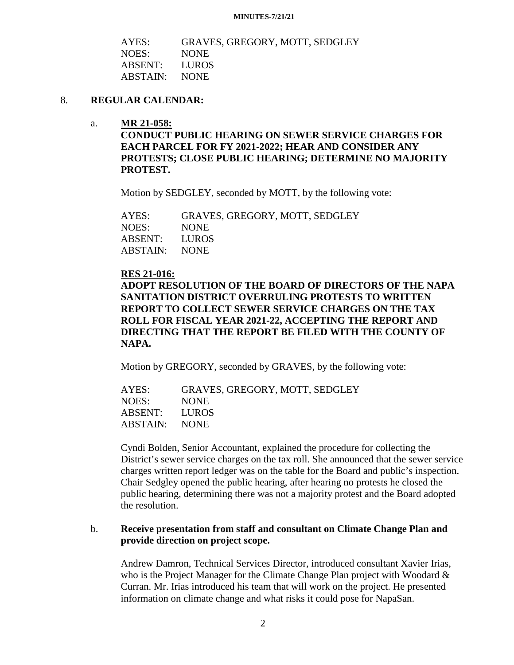#### **MINUTES-7/21/21**

| AYES:         | GRAVES, GREGORY, MOTT, SEDGLEY |
|---------------|--------------------------------|
| NOES:         | <b>NONE</b>                    |
| ABSENT: LUROS |                                |
| ABSTAIN: NONE |                                |

### 8. **REGULAR CALENDAR:**

a. **MR 21-058:**

**CONDUCT PUBLIC HEARING ON SEWER SERVICE CHARGES FOR EACH PARCEL FOR FY 2021-2022; HEAR AND CONSIDER ANY PROTESTS; CLOSE PUBLIC HEARING; DETERMINE NO MAJORITY PROTEST.**

Motion by SEDGLEY, seconded by MOTT, by the following vote:

AYES: GRAVES, GREGORY, MOTT, SEDGLEY NOES: NONE ABSENT: LUROS ABSTAIN: NONE

### **RES 21-016:**

**ADOPT RESOLUTION OF THE BOARD OF DIRECTORS OF THE NAPA SANITATION DISTRICT OVERRULING PROTESTS TO WRITTEN REPORT TO COLLECT SEWER SERVICE CHARGES ON THE TAX ROLL FOR FISCAL YEAR 2021-22, ACCEPTING THE REPORT AND DIRECTING THAT THE REPORT BE FILED WITH THE COUNTY OF NAPA.**

Motion by GREGORY, seconded by GRAVES, by the following vote:

| AYES:         | GRAVES, GREGORY, MOTT, SEDGLEY |
|---------------|--------------------------------|
| NOES:         | <b>NONE</b>                    |
| ABSENT: LUROS |                                |
| ABSTAIN: NONE |                                |

Cyndi Bolden, Senior Accountant, explained the procedure for collecting the District's sewer service charges on the tax roll. She announced that the sewer service charges written report ledger was on the table for the Board and public's inspection. Chair Sedgley opened the public hearing, after hearing no protests he closed the public hearing, determining there was not a majority protest and the Board adopted the resolution.

### b. **Receive presentation from staff and consultant on Climate Change Plan and provide direction on project scope.**

Andrew Damron, Technical Services Director, introduced consultant Xavier Irias, who is the Project Manager for the Climate Change Plan project with Woodard  $\&$ Curran. Mr. Irias introduced his team that will work on the project. He presented information on climate change and what risks it could pose for NapaSan.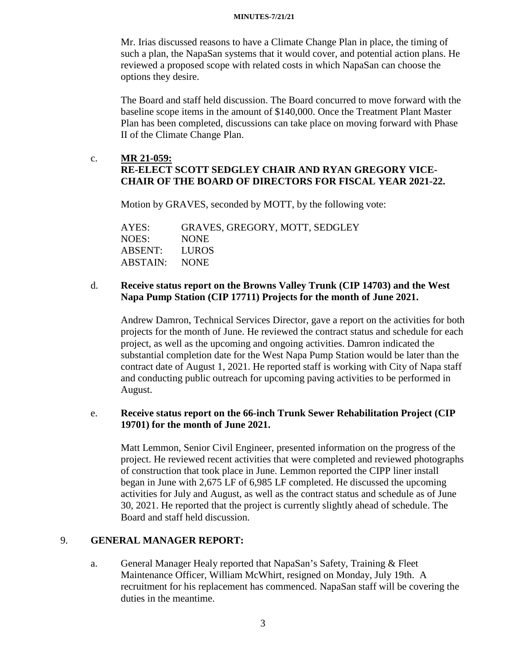#### **MINUTES-7/21/21**

Mr. Irias discussed reasons to have a Climate Change Plan in place, the timing of such a plan, the NapaSan systems that it would cover, and potential action plans. He reviewed a proposed scope with related costs in which NapaSan can choose the options they desire.

The Board and staff held discussion. The Board concurred to move forward with the baseline scope items in the amount of \$140,000. Once the Treatment Plant Master Plan has been completed, discussions can take place on moving forward with Phase II of the Climate Change Plan.

# c. **MR 21-059: RE-ELECT SCOTT SEDGLEY CHAIR AND RYAN GREGORY VICE-CHAIR OF THE BOARD OF DIRECTORS FOR FISCAL YEAR 2021-22.**

Motion by GRAVES, seconded by MOTT, by the following vote:

AYES: GRAVES, GREGORY, MOTT, SEDGLEY NOES: NONE ABSENT: LUROS ABSTAIN: NONE

### d. **Receive status report on the Browns Valley Trunk (CIP 14703) and the West Napa Pump Station (CIP 17711) Projects for the month of June 2021.**

Andrew Damron, Technical Services Director, gave a report on the activities for both projects for the month of June. He reviewed the contract status and schedule for each project, as well as the upcoming and ongoing activities. Damron indicated the substantial completion date for the West Napa Pump Station would be later than the contract date of August 1, 2021. He reported staff is working with City of Napa staff and conducting public outreach for upcoming paving activities to be performed in August.

## e. **Receive status report on the 66-inch Trunk Sewer Rehabilitation Project (CIP 19701) for the month of June 2021.**

Matt Lemmon, Senior Civil Engineer, presented information on the progress of the project. He reviewed recent activities that were completed and reviewed photographs of construction that took place in June. Lemmon reported the CIPP liner install began in June with 2,675 LF of 6,985 LF completed. He discussed the upcoming activities for July and August, as well as the contract status and schedule as of June 30, 2021. He reported that the project is currently slightly ahead of schedule. The Board and staff held discussion.

## 9. **GENERAL MANAGER REPORT:**

a. General Manager Healy reported that NapaSan's Safety, Training & Fleet Maintenance Officer, William McWhirt, resigned on Monday, July 19th. A recruitment for his replacement has commenced. NapaSan staff will be covering the duties in the meantime.